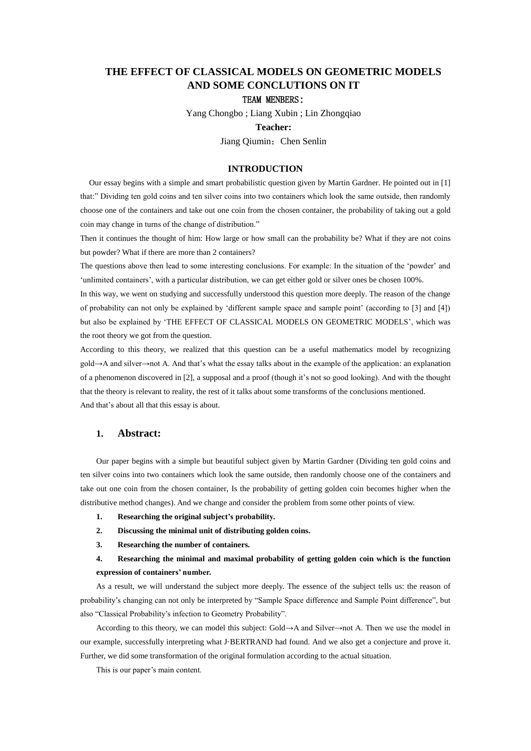# **THE EFFECT OF CLASSICAL MODELS ON GEOMETRIC MODELS AND SOME CONCLUTIONS ON IT**

# TEAM MENBERS:

Yang Chongbo ; Liang Xubin ; Lin Zhongqiao

#### **Teacher:**

Jiang Qiumin; Chen Senlin

### **INTRODUCTION**

Our essay begins with a simple and smart probabilistic question given by Martin Gardner. He pointed out in [1] that:" Dividing ten gold coins and ten silver coins into two containers which look the same outside, then randomly choose one of the containers and take out one coin from the chosen container, the probability of taking out a gold coin may change in turns of the change of distribution."

Then it continues the thought of him: How large or how small can the probability be? What if they are not coins but powder? What if there are more than 2 containers?

The questions above then lead to some interesting conclusions. For example: In the situation of the 'powder' and 'unlimited containers', with a particular distribution, we can get either gold or silver ones be chosen 100%.

In this way, we went on studying and successfully understood this question more deeply. The reason of the change of probability can not only be explained by 'different sample space and sample point' (according to [3] and [4]) but also be explained by 'THE EFFECT OF CLASSICAL MODELS ON GEOMETRIC MODELS', which was the root theory we got from the question.

According to this theory, we realized that this question can be a useful mathematics model by recognizing gold→A and silver→not A. And that's what the essay talks about in the example of the application: an explanation of a phenomenon discovered in [2], a supposal and a proof (though it's not so good looking). And with the thought that the theory is relevant to reality, the rest of it talks about some transforms of the conclusions mentioned. And that's about all that this essay is about.

# **1. Abstract:**

Our paper begins with a simple but beautiful subject given by Martin Gardner (Dividing ten gold coins and ten silver coins into two containers which look the same outside, then randomly choose one of the containers and take out one coin from the chosen container, Is the probability of getting golden coin becomes higher when the distributive method changes). And we change and consider the problem from some other points of view.

- **1. Researching the original subject's probability.**
- **2. Discussing the minimal unit of distributing golden coins.**
- **3. Researching the number of containers.**

# **4. Researching the minimal and maximal probability of getting golden coin which is the function expression of containers' number.**

As a result, we will understand the subject more deeply. The essence of the subject tells us: the reason of probability's changing can not only be interpreted by "Sample Space difference and Sample Point difference", but also "Classical Probability's infection to Geometry Probability".

According to this theory, we can model this subject: Gold→A and Silver→not A. Then we use the model in our example, successfully interpreting what J·BERTRAND had found. And we also get a conjecture and prove it. Further, we did some transformation of the original formulation according to the actual situation.

This is our paper's main content.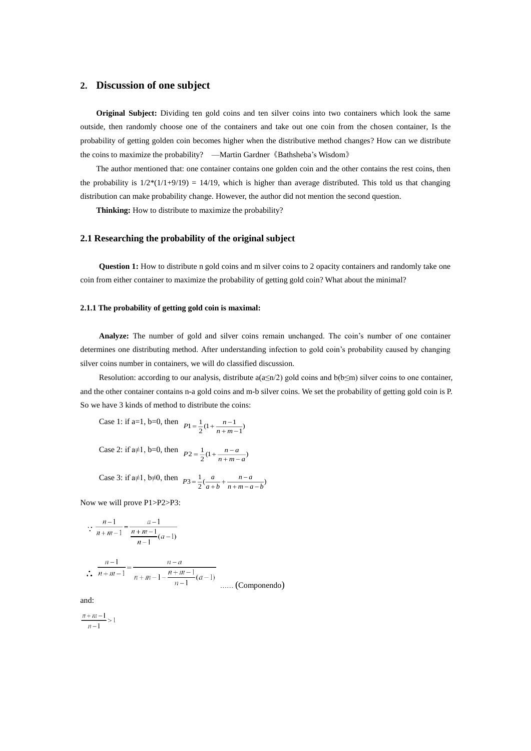# **2. Discussion of one subject**

**Original Subject:** Dividing ten gold coins and ten silver coins into two containers which look the same outside, then randomly choose one of the containers and take out one coin from the chosen container, Is the probability of getting golden coin becomes higher when the distributive method changes? How can we distribute the coins to maximize the probability? —Martin Gardner《Bathsheba's Wisdom》

The author mentioned that: one container contains one golden coin and the other contains the rest coins, then the probability is  $1/2*(1/1+9/19) = 14/19$ , which is higher than average distributed. This told us that changing distribution can make probability change. However, the author did not mention the second question.

**Thinking:** How to distribute to maximize the probability?

### **2.1 Researching the probability of the original subject**

**Question 1:** How to distribute n gold coins and m silver coins to 2 opacity containers and randomly take one coin from either container to maximize the probability of getting gold coin? What about the minimal?

#### **2.1.1 The probability of getting gold coin is maximal:**

**Analyze:** The number of gold and silver coins remain unchanged. The coin's number of one container determines one distributing method. After understanding infection to gold coin's probability caused by changing silver coins number in containers, we will do classified discussion.

Resolution: according to our analysis, distribute  $a(a \le n/2)$  gold coins and  $b(b \le m)$  silver coins to one container, and the other container contains n-a gold coins and m-b silver coins. We set the probability of getting gold coin is P. So we have 3 kinds of method to distribute the coins:

Case 1: if a=1, b=0, then  $P_1 = \frac{1}{2}(1 + \frac{n-1}{n+m-1})$  $\frac{1}{2}(1+\frac{n-1}{n+m-1})$  $1 = \frac{1}{2}(1 + \frac{n-1}{n+m-1})$  $P1 = \frac{1}{2}(1 + \frac{n-1}{n+m})$ 

Case 2: if a≠1, b=0, then  $P2 = \frac{1}{2}(1 + \frac{n-a}{n+m-a})$  $P2 = \frac{1}{2}(1 + \frac{n-a}{n+m-a})$  $=$   $\frac{1}{-}$  (1 +  $\frac{n-i}{-}$ 

Case 3: if 
$$
a\neq 1
$$
,  $b\neq 0$ , then  $p_3 = \frac{1}{2}(\frac{a}{a+b} + \frac{n-a}{n+m-a-b})$ 

Now we will prove P1>P2>P3:

$$
\therefore \frac{n-1}{n+m-1} = \frac{a-1}{\frac{n+m-1}{n-1}(a-1)}
$$

$$
\therefore \frac{n-1}{n+m-1} = \frac{n-a}{n+m-1 - \frac{n+m-1}{n-1}(a-1)}
$$
 .... (Componento)

and:

$$
\frac{n+m-1}{n-1} > 1
$$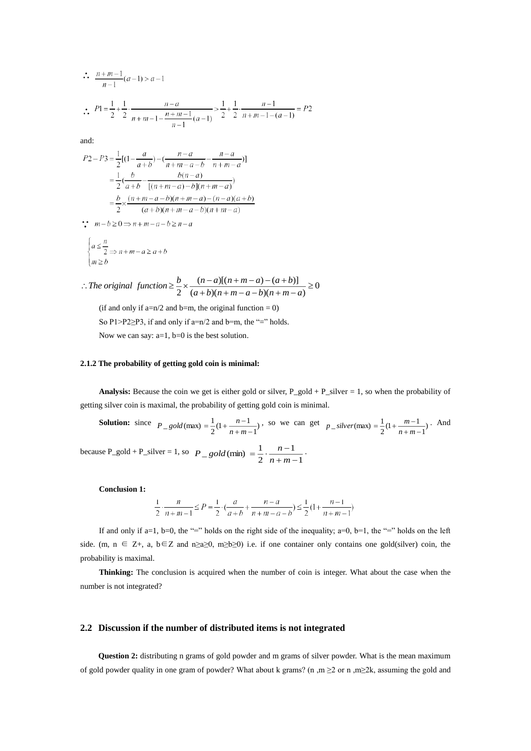$$
\therefore \frac{n+m-1}{n-1}(a-1) > a-1
$$
  

$$
\therefore P1 = \frac{1}{2} + \frac{1}{2} \cdot \frac{n-a}{n+m-1 - \frac{n+m-1}{n-1}(a-1)} > \frac{1}{2} + \frac{1}{2} \cdot \frac{n-1}{n+m-1 - (a-1)} = P2
$$

and:

$$
P2 - P3 = \frac{1}{2}[(1 - \frac{a}{a+b}) - (\frac{n-a}{n+m-a-b} - \frac{n-a}{n+m-a})]
$$
  
= 
$$
\frac{1}{2}(\frac{b}{a+b} - \frac{b(n-a)}{[(n+m-a)-b](n+m-a)})
$$
  
= 
$$
\frac{b}{2} \times \frac{(n+m-a-b)(n+m-a) - (n-a)(a+b)}{(a+b)(n+m-a-b)(n+m-a)}
$$

 $\therefore$   $m-b \ge 0 \Rightarrow n+m-a-b \ge n-a$ 

$$
\begin{cases} a \leq \frac{n}{2} \\ m \geq b \end{cases}
$$
  

$$
n + m - a \geq a + b
$$

 $\frac{(a+b)(n+m-a-b)(n+m-a)}{(a+b)(n+m-a-b)(n+m-a)} \ge 0$  $(n-a)[(n+m-a)-(a+b)]$  $\frac{2}{2} \times \frac{(a+b)(n+m-a-b)(n+m-a)}{(a+b)(n+m-a-b)}$  $\therefore$  *The original function*  $\geq \frac{b}{2} \times \frac{(n-a)[(n+m-a)-(a+b)]}{(a+b)(n+m-a-b)(n+m-a)}$ *b*  $\frac{b}{a} \times \frac{(n-a)[(n+m-a)-(a+b)}{b}$ 

(if and only if a=n/2 and b=m, the original function = 0) So P1>P2 $\geq$ P3, if and only if a=n/2 and b=m, the "=" holds. Now we can say:  $a=1$ ,  $b=0$  is the best solution.

### **2.1.2 The probability of getting gold coin is minimal:**

**Analysis:** Because the coin we get is either gold or silver,  $P_{g}$ old +  $P_{g}$ silver = 1, so when the probability of getting silver coin is maximal, the probability of getting gold coin is minimal.

**Solution:** since 
$$
P_{-g}old(max) = \frac{1}{2}(1 + \frac{n-1}{n+m-1})
$$
, so we can get  $p_{-silver(max)} = \frac{1}{2}(1 + \frac{m-1}{n+m-1})$ . And because  $P_{-g}old + P_{-silver} = 1$ , so  $P_{-g}old(min) = \frac{1}{2} \cdot \frac{n-1}{n+m-1}$ .

**Conclusion 1:**

$$
\frac{1}{2} \cdot \frac{n}{n+m-1} \le P = \frac{1}{2} \cdot \left(\frac{a}{a+b} + \frac{n-a}{n+m-a-b}\right) \le \frac{1}{2} \left(1 + \frac{n-1}{n+m-1}\right)
$$

If and only if a=1, b=0, the "=" holds on the right side of the inequality;  $a=0$ ,  $b=1$ , the "=" holds on the left side. (m,  $n \in \mathbb{Z}_+$ , a,  $b \in \mathbb{Z}$  and  $n \geq a \geq 0$ ,  $m \geq b \geq 0$ ) i.e. if one container only contains one gold(silver) coin, the probability is maximal.

**Thinking:** The conclusion is acquired when the number of coin is integer. What about the case when the number is not integrated?

### **2.2 Discussion if the number of distributed items is not integrated**

**Question 2:** distributing n grams of gold powder and m grams of silver powder. What is the mean maximum of gold powder quality in one gram of powder? What about k grams? (n ,m  $\geq 2$  or n ,m  $\geq 2k$ , assuming the gold and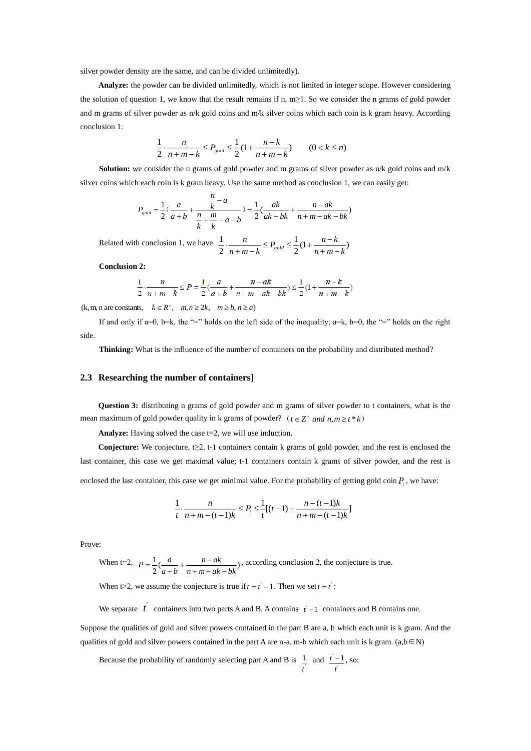silver powder density are the same, and can be divided unlimitedly).

**Analyze:** the powder can be divided unlimitedly, which is not limited in integer scope. However considering the solution of question 1, we know that the result remains if n, m≥1. So we consider the n grams of gold powder and m grams of silver powder as n/k gold coins and m/k silver coins which each coin is k gram heavy. According conclusion 1:

$$
\frac{1}{2} \cdot \frac{n}{n+m-k} \le P_{gold} \le \frac{1}{2} (1 + \frac{n-k}{n+m-k}) \qquad (0 < k \le n)
$$

**Solution:** we consider the n grams of gold powder and m grams of silver powder as n/k gold coins and m/k silver coins which each coin is k gram heavy. Use the same method as conclusion 1, we can easily get:

$$
P_{gold} = \frac{1}{2} \left( \frac{a}{a+b} + \frac{\frac{n}{k} - a}{\frac{n}{k} + \frac{m}{k} - a - b} \right) = \frac{1}{2} \left( \frac{ak}{ak + bk} + \frac{n - ak}{n + m - ak - bk} \right)
$$

Related with conclusion 1, we have  $\frac{1}{2} \cdot \frac{n}{n+m-k} \le P_{gold} \le \frac{1}{2} (1 + \frac{n-k}{n+m-k})$ 1 2 1 *<sup>n</sup> <sup>m</sup> k*  $\frac{n}{n+m-k} \le P_{gold} \le \frac{1}{2}(1 + \frac{n-k}{n+m-1})$ *n*  $g^{old}$  = 2<sup>(1)</sup>  $n+m \frac{n}{n+m-k} \leq P_{gold} \leq \frac{1}{2}(1+\frac{n-k}{n+m})$ 

**Conclusion 2:**

$$
\frac{1}{2} \cdot \frac{n}{n+m-k} \le P = \frac{1}{2} \cdot \frac{a}{a+b} + \frac{n-ak}{n+m-ak-bk} \le \frac{1}{2} \cdot \left(1 + \frac{n-k}{n+m-k}\right)
$$

 $(k, m, n \text{ are constants}, \quad k \in \mathbb{R}^+, \quad m, n \geq 2k, \quad m \geq b, n \geq a)$ 

If and only if a=0, b=k, the "=" holds on the left side of the inequality; a=k, b=0, the "=" holds on the right side.

**Thinking:** What is the influence of the number of containers on the probability and distributed method?

#### **2.3 Researching the number of containers]**

**Question 3:** distributing n grams of gold powder and m grams of silver powder to t containers, what is the mean maximum of gold powder quality in k grams of powder?  $(t \in Z^+$  and  $n, m \ge t^*k$ 

**Analyze:** Having solved the case t=2, we will use induction.

**Conjecture:** We conjecture, t≥2, t-1 containers contain k grams of gold powder, and the rest is enclosed the last container, this case we get maximal value; t-1 containers contain k grams of silver powder, and the rest is

enclosed the last container, this case we get minimal value. For the probability of getting gold coin  $P_t$ , we have:

$$
\frac{1}{t} \cdot \frac{n}{n+m-(t-1)k} \le P_t \le \frac{1}{t} [(t-1) + \frac{n-(t-1)k}{n+m-(t-1)k}]
$$

Prove:

When t=2,  $P = \frac{1}{2}(\frac{a}{a+b} + \frac{n - ak}{n + m - ak - bk})$ 1 *<sup>n</sup> <sup>m</sup> ak bk <sup>n</sup> ak <sup>a</sup> b*  $P = \frac{1}{2}(\frac{a}{a+b} + \frac{n - ak}{n + m - ak -})$  $=\frac{1}{2}(\frac{a}{a+b}+\frac{n-a k}{n+m-a k-b k}),$  according conclusion 2, the conjecture is true.

When t>2, we assume the conjecture is true if  $t = t^* - 1$ . Then we set  $t = t^*$ :

We separate  $t^{\dagger}$  containers into two parts A and B. A contains  $t^{\dagger}$  -1 containers and B contains one.

Suppose the qualities of gold and silver powers contained in the part B are a, b which each unit is k gram. And the qualities of gold and silver powers contained in the part A are n-a, m-b which each unit is k gram. (a,b∈N)

Because the probability of randomly selecting part A and B is  $\frac{1}{t}$ 1 *t* and  $\frac{t}{t}$  $-1$ *t*  $\frac{t-1}{s}$ , so: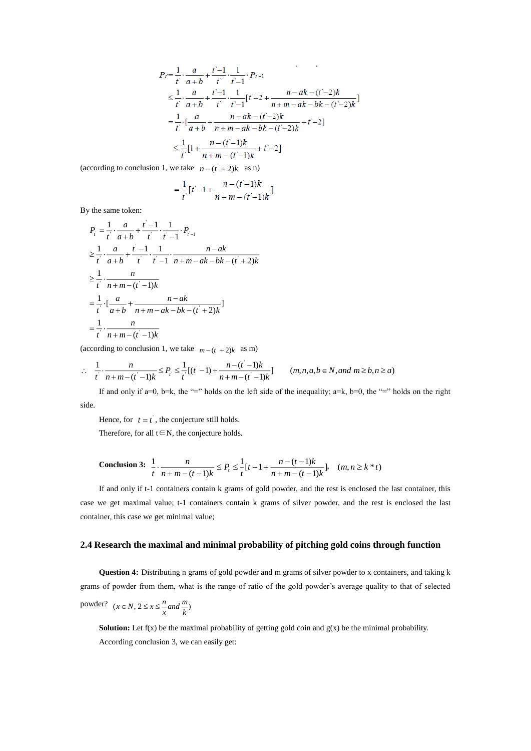$$
P_{t} = \frac{1}{t} \cdot \frac{a}{a+b} + \frac{t-1}{t} \cdot \frac{1}{t-1} \cdot P_{t-1}
$$
  
\n
$$
\leq \frac{1}{t} \cdot \frac{a}{a+b} + \frac{t-1}{t} \cdot \frac{1}{t-1} [t-2 + \frac{n - ak - (t-2)k}{n+m - ak - bk - (t-2)k}]
$$
  
\n
$$
= \frac{1}{t} \cdot \left[ \frac{a}{a+b} + \frac{n - ak - (t-2)k}{n+m - ak - bk - (t-2)k} + t - 2 \right]
$$
  
\n
$$
\leq \frac{1}{t} [1 + \frac{n - (t-1)k}{n+m - (t-1)k} + t - 2]
$$

(according to conclusion 1, we take  $n - (t^2 + 2)k$  as n)

$$
= \frac{1}{t}[t-1+\frac{n-(t-1)k}{n+m-(t-1)k}]
$$

By the same token:

$$
P_{i} = \frac{1}{t} \cdot \frac{a}{a+b} + \frac{t-1}{t} \cdot \frac{1}{t-1} \cdot P_{i-1}
$$
  
\n
$$
\geq \frac{1}{t} \cdot \frac{a}{a+b} + \frac{t-1}{t} \cdot \frac{1}{t-1} \cdot \frac{n - ak}{n + m - ak - bk - (t + 2)k}
$$
  
\n
$$
\geq \frac{1}{t} \cdot \frac{n}{n + m - (t - 1)k}
$$
  
\n
$$
= \frac{1}{t} \cdot \left[ \frac{a}{a+b} + \frac{n - ak}{n + m - ak - bk - (t + 2)k} \right]
$$
  
\n
$$
= \frac{1}{t} \cdot \frac{n}{n + m - (t - 1)k}
$$

(according to conclusion 1, we take  $m - (t^2 + 2)k$  as m)

$$
\therefore \quad \frac{1}{t} \cdot \frac{n}{n+m-(t-1)k} \le P_i \le \frac{1}{t} [(t-1) + \frac{n-(t-1)k}{n+m-(t-1)k}] \qquad (m,n,a,b \in N, and \ m \ge b, n \ge a)
$$

If and only if a=0, b=k, the "=" holds on the left side of the inequality; a=k, b=0, the "=" holds on the right side.

Hence, for  $t = t$ , the conjecture still holds.

Therefore, for all  $t \in N$ , the conjecture holds.

$$
\text{Conclusion 3: } \frac{1}{t} \cdot \frac{n}{n+m-(t-1)k} \le P_t \le \frac{1}{t}[t-1+\frac{n-(t-1)k}{n+m-(t-1)k}], \quad (m, n \ge k * t)
$$

If and only if t-1 containers contain k grams of gold powder, and the rest is enclosed the last container, this case we get maximal value; t-1 containers contain k grams of silver powder, and the rest is enclosed the last container, this case we get minimal value;

### **2.4 Research the maximal and minimal probability of pitching gold coins through function**

**Question 4:** Distributing n grams of gold powder and m grams of silver powder to x containers, and taking k grams of powder from them, what is the range of ratio of the gold powder's average quality to that of selected

$$
power? \quad (x \in N, 2 \le x \le \frac{n}{x} and \frac{m}{k})
$$

**Solution:** Let  $f(x)$  be the maximal probability of getting gold coin and  $g(x)$  be the minimal probability. According conclusion 3, we can easily get: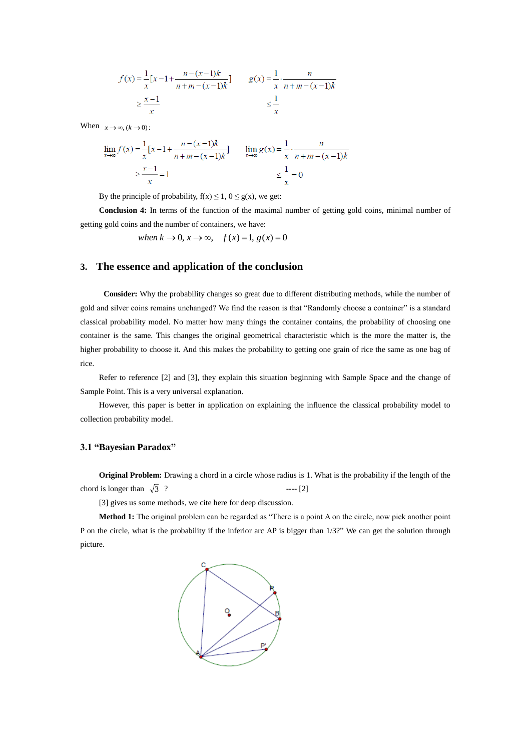$$
f(x) = \frac{1}{x} [x - 1 + \frac{n - (x - 1)k}{n + m - (x - 1)k}] \qquad g(x) = \frac{1}{x} \cdot \frac{n}{n + m - (x - 1)k}
$$
  

$$
\ge \frac{x - 1}{x} \qquad \qquad \le \frac{1}{x}
$$

When  $x \to \infty$ ,  $(k \to 0)$ :

$$
\lim_{x \to \infty} f(x) = \frac{1}{x} [x - 1 + \frac{n - (x - 1)k}{n + m - (x - 1)k}] \qquad \lim_{x \to \infty} g(x) = \frac{1}{x} \cdot \frac{n}{n + m - (x - 1)k}
$$

$$
\ge \frac{x - 1}{x} = 1 \qquad \qquad \le \frac{1}{x} = 0
$$

By the principle of probability,  $f(x) \le 1$ ,  $0 \le g(x)$ , we get:

**Conclusion 4:** In terms of the function of the maximal number of getting gold coins, minimal number of getting gold coins and the number of containers, we have:

*when*  $k \rightarrow 0$ ,  $x \rightarrow \infty$ ,  $f(x) = 1$ ,  $g(x) = 0$ 

# **3. The essence and application of the conclusion**

**Consider:** Why the probability changes so great due to different distributing methods, while the number of gold and silver coins remains unchanged? We find the reason is that "Randomly choose a container" is a standard classical probability model. No matter how many things the container contains, the probability of choosing one container is the same. This changes the original geometrical characteristic which is the more the matter is, the higher probability to choose it. And this makes the probability to getting one grain of rice the same as one bag of rice.

Refer to reference [2] and [3], they explain this situation beginning with Sample Space and the change of Sample Point. This is a very universal explanation.

However, this paper is better in application on explaining the influence the classical probability model to collection probability model.

# **3.1 "Bayesian Paradox"**

**Original Problem:** Drawing a chord in a circle whose radius is 1. What is the probability if the length of the chord is longer than  $\sqrt{3}$  $--- [2]$ 

[3] gives us some methods, we cite here for deep discussion.

**Method 1:** The original problem can be regarded as "There is a point A on the circle, now pick another point P on the circle, what is the probability if the inferior arc AP is bigger than 1/3?" We can get the solution through picture.

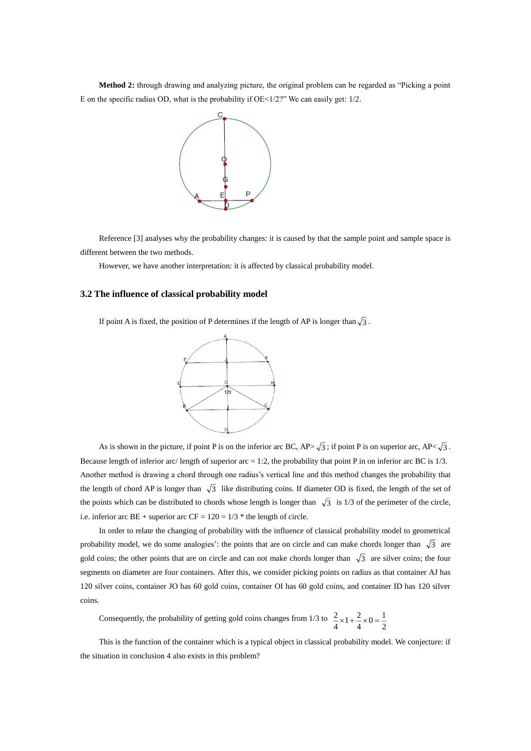**Method 2:** through drawing and analyzing picture, the original problem can be regarded as "Picking a point E on the specific radius OD, what is the probability if  $OE < 1/2$ ?" We can easily get:  $1/2$ .



Reference [3] analyses why the probability changes: it is caused by that the sample point and sample space is different between the two methods.

However, we have another interpretation: it is affected by classical probability model.

### **3.2 The influence of classical probability model**

If point A is fixed, the position of P determines if the length of AP is longer than  $\sqrt{3}$ .



As is shown in the picture, if point P is on the inferior arc BC,  $AP\sim\sqrt{3}$ ; if point P is on superior arc,  $AP\sim\sqrt{3}$ . Because length of inferior arc/ length of superior arc  $= 1:2$ , the probability that point P in on inferior arc BC is  $1/3$ . Another method is drawing a chord through one radius's vertical line and this method changes the probability that the length of chord AP is longer than  $\sqrt{3}$  like distributing coins. If diameter OD is fixed, the length of the set of the points which can be distributed to chords whose length is longer than  $\sqrt{3}$  is 1/3 of the perimeter of the circle, i.e. inferior arc BE + superior arc  $CF = 120 = 1/3$  \* the length of circle.

In order to relate the changing of probability with the influence of classical probability model to geometrical probability model, we do some analogies': the points that are on circle and can make chords longer than  $\sqrt{3}$  are gold coins; the other points that are on circle and can not make chords longer than  $\sqrt{3}$  are silver coins; the four segments on diameter are four containers. After this, we consider picking points on radius as that container AJ has 120 silver coins, container JO has 60 gold coins, container OI has 60 gold coins, and container ID has 120 silver coins.

Consequently, the probability of getting gold coins changes from 1/3 to  $\frac{2}{4} \times 1 + \frac{2}{4} \times 0 = \frac{1}{2}$  $\frac{2}{4} \times 0 = \frac{1}{2}$  $\frac{2}{4} \times 1 + \frac{2}{4}$  $\frac{2}{2} \times 1 + \frac{2}{2} \times 0 =$ 

This is the function of the container which is a typical object in classical probability model. We conjecture: if the situation in conclusion 4 also exists in this problem?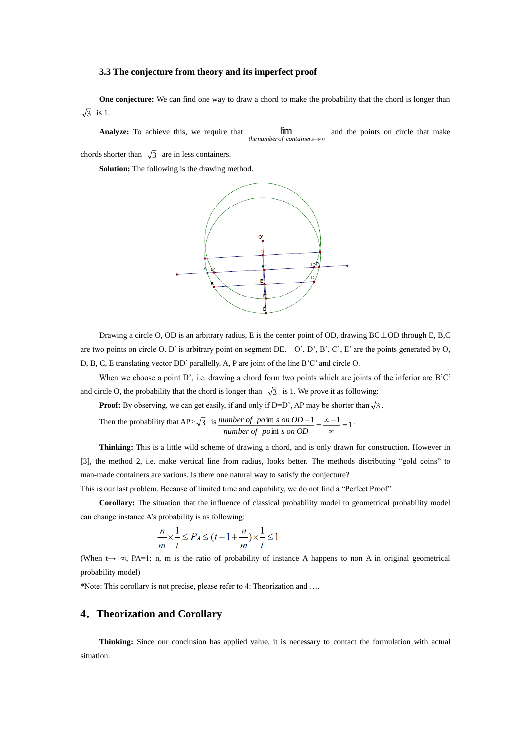### **3.3 The conjecture from theory and its imperfect proof**

**One conjecture:** We can find one way to draw a chord to make the probability that the chord is longer than 3 is 1.

**Analyze:** To achieve this, we require that *the numberof containers* lim and the points on circle that make

chords shorter than  $\sqrt{3}$  are in less containers.

**Solution:** The following is the drawing method.



Drawing a circle O, OD is an arbitrary radius, E is the center point of OD, drawing BC⊥OD through E, B,C are two points on circle O. D' is arbitrary point on segment DE. O', D', B', C', E' are the points generated by O, D, B, C, E translating vector DD' parallelly. A, P are joint of the line B'C' and circle O.

When we choose a point D', i.e. drawing a chord form two points which are joints of the inferior arc B'C' and circle O, the probability that the chord is longer than  $\sqrt{3}$  is 1. We prove it as following:

**Proof:** By observing, we can get easily, if and only if  $D=D'$ , AP may be shorter than  $\sqrt{3}$ .

Then the probability that AP> $\sqrt{3}$  is <u>number of point s on OD - 1</u> =  $\frac{\infty - 1}{3}$  = 1 int  $\frac{\text{int }s \text{ on } OD - 1}{\text{int }s \text{ on } OD} = \frac{\infty - 1}{\infty} =$  $\frac{-1}{\cdot} = \frac{\infty - \cdot}{\cdot}$ *number of po s on OD*  $number\ of\ point\ s\ on\ OD-1}{\alpha-\alpha-1}$ 

**Thinking:** This is a little wild scheme of drawing a chord, and is only drawn for construction. However in [3], the method 2, i.e. make vertical line from radius, looks better. The methods distributing "gold coins" to man-made containers are various. Is there one natural way to satisfy the conjecture?

This is our last problem. Because of limited time and capability, we do not find a "Perfect Proof".

**Corollary:** The situation that the influence of classical probability model to geometrical probability model can change instance A's probability is as following:

$$
\frac{n}{m} \times \frac{1}{t} \le P_A \le (t - 1 + \frac{n}{m}) \times \frac{1}{t} \le 1
$$

(When t→+∞, PA=1; n, m is the ratio of probability of instance A happens to non A in original geometrical probability model)

\*Note: This corollary is not precise, please refer to 4: Theorization and ….

# **4**.**Theorization and Corollary**

**Thinking:** Since our conclusion has applied value, it is necessary to contact the formulation with actual situation.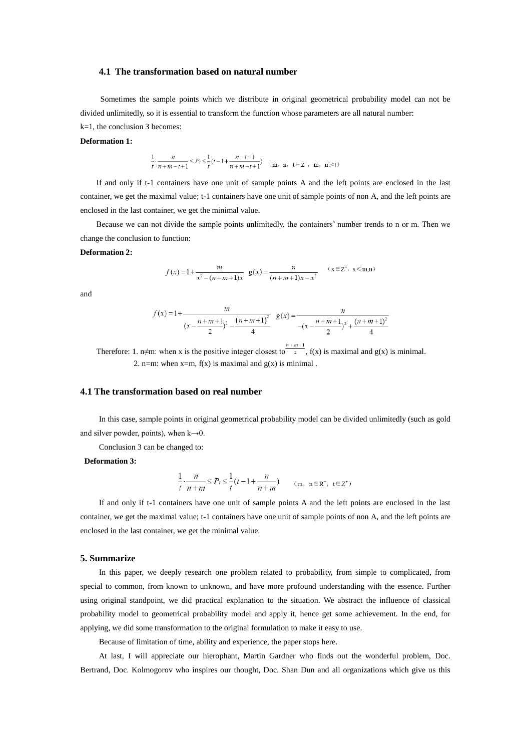#### **4.1 The transformation based on natural number**

Sometimes the sample points which we distribute in original geometrical probability model can not be divided unlimitedly, so it is essential to transform the function whose parameters are all natural number: k=1, the conclusion 3 becomes:

### **Deformation 1:**

$$
\frac{1}{t} \cdot \frac{n}{n+m-t+1} \le P_t \le \frac{1}{t}(t-1+\frac{n-t+1}{n+m-t+1}) \quad (\text{m}, \text{ n}, \text{ t} \in \mathbb{Z}^+, \text{ m}, \text{ n} \ge t)
$$

 If and only if t-1 containers have one unit of sample points A and the left points are enclosed in the last container, we get the maximal value; t-1 containers have one unit of sample points of non A, and the left points are enclosed in the last container, we get the minimal value.

 Because we can not divide the sample points unlimitedly, the containers' number trends to n or m. Then we change the conclusion to function:

#### **Deformation 2:**

$$
f(x) = 1 + \frac{m}{x^2 - (n + m + 1)x} \quad g(x) = \frac{n}{(n + m + 1)x - x^2} \quad (x \in \mathbb{Z}^+, \ x \leq m, n)
$$

and

$$
f(x) = 1 + \frac{m}{(x - \frac{n + m + 1}{2})^2 - \frac{(n + m + 1)^2}{4}} g(x) = \frac{n}{-(x - \frac{n + m + 1}{2})^2 + \frac{(n + m + 1)^2}{4}}
$$

Therefore: 1. n≠m: when x is the positive integer closest to  $\frac{n+m+1}{2}$ , f(x) is maximal and g(x) is minimal. 2. n=m: when  $x=m$ ,  $f(x)$  is maximal and  $g(x)$  is minimal.

### **4.1 The transformation based on real number**

In this case, sample points in original geometrical probability model can be divided unlimitedly (such as gold and silver powder, points), when  $k\rightarrow 0$ .

Conclusion 3 can be changed to:

#### **Deformation 3:**

$$
\frac{1}{t} \cdot \frac{n}{n+m} \le P_t \le \frac{1}{t} \left( t - 1 + \frac{n}{n+m} \right) \qquad (\text{m}, \ \ \mathbf{n} \in \mathbb{R}^+, \ \mathbf{t} \in \mathbb{Z}^+)
$$

If and only if t-1 containers have one unit of sample points A and the left points are enclosed in the last container, we get the maximal value; t-1 containers have one unit of sample points of non A, and the left points are enclosed in the last container, we get the minimal value.

#### **5. Summarize**

In this paper, we deeply research one problem related to probability, from simple to complicated, from special to common, from known to unknown, and have more profound understanding with the essence. Further using original standpoint, we did practical explanation to the situation. We abstract the influence of classical probability model to geometrical probability model and apply it, hence get some achievement. In the end, for applying, we did some transformation to the original formulation to make it easy to use.

Because of limitation of time, ability and experience, the paper stops here.

At last, I will appreciate our hierophant, Martin Gardner who finds out the wonderful problem, Doc. Bertrand, Doc. Kolmogorov who inspires our thought, Doc. Shan Dun and all organizations which give us this